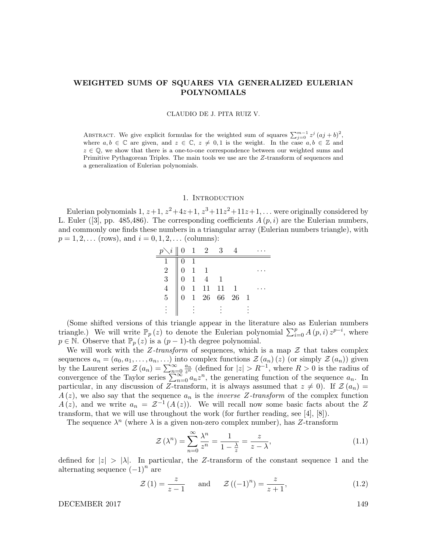# WEIGHTED SUMS OF SQUARES VIA GENERALIZED EULERIAN POLYNOMIALS

CLAUDIO DE J. PITA RUIZ V.

ABSTRACT. We give explicit formulas for the weighted sum of squares  $\sum_{j=0}^{m-1} z^j (aj + b)^2$ , where  $a, b \in \mathbb{C}$  are given, and  $z \in \mathbb{C}$ ,  $z \neq 0, 1$  is the weight. In the case  $a, b \in \mathbb{Z}$  and  $z \in \mathbb{Q}$ , we show that there is a one-to-one correspondence between our weighted sums and Primitive Pythagorean Triples. The main tools we use are the Z-transform of sequences and a generalization of Eulerian polynomials.

#### 1. INTRODUCTION

Eulerian polynomials  $1, z+1, z^2+4z+1, z^3+11z^2+11z+1, \ldots$  were originally considered by L. Euler ([3], pp. 485,486). The corresponding coefficients  $A(p, i)$  are the Eulerian numbers, and commonly one finds these numbers in a triangular array (Eulerian numbers triangle), with  $p = 1, 2, \ldots$  (rows), and  $i = 0, 1, 2, \ldots$  (columns):

|                                                 |                | $\chi i \parallel 0$ 1 2 3 |                                                                                                        |  |
|-------------------------------------------------|----------------|----------------------------|--------------------------------------------------------------------------------------------------------|--|
|                                                 | $\overline{1}$ |                            |                                                                                                        |  |
|                                                 | $1 \quad 1$    |                            |                                                                                                        |  |
| $\begin{array}{c} 2 \\ 3 \\ 4 \\ 5 \end{array}$ |                |                            |                                                                                                        |  |
|                                                 |                |                            |                                                                                                        |  |
|                                                 |                |                            | $\begin{array}{cccccc}\n0 & 1 & 4 & 1 \\ 0 & 1 & 11 & 11 & 1 \\ 0 & 1 & 26 & 66 & 26 & 1\n\end{array}$ |  |
|                                                 |                |                            |                                                                                                        |  |

(Some shifted versions of this triangle appear in the literature also as Eulerian numbers triangle.) We will write  $\mathbb{P}_p(z)$  to denote the Eulerian polynomial  $\sum_{i=0}^p A(p,i) z^{p-i}$ , where  $p \in \mathbb{N}$ . Observe that  $\mathbb{P}_p(z)$  is a  $(p-1)$ -th degree polynomial.

We will work with the Z-transform of sequences, which is a map  $\mathcal Z$  that takes complex sequences  $a_n = (a_0, a_1, \ldots, a_n, \ldots)$  into complex functions  $\mathcal{Z}(a_n)(z)$  (or simply  $\mathcal{Z}(a_n)$ ) given by the Laurent series  $\mathcal{Z}(a_n) = \sum_{n=0}^{\infty} \frac{a_n}{z^n}$  (defined for  $|z| > R^{-1}$ , where  $R > 0$  is the radius of convergence of the Taylor series  $\sum_{n=0}^{\infty} a_n z^n$ , the generating function of the sequence  $a_n$ . In particular, in any discussion of Z-transform, it is always assumed that  $z \neq 0$ ). If  $\mathcal{Z}(a_n) =$  $A(z)$ , we also say that the sequence  $a_n$  is the *inverse Z-transform* of the complex function  $A(z)$ , and we write  $a_n = \mathcal{Z}^{-1}(A(z))$ . We will recall now some basic facts about the Z transform, that we will use throughout the work (for further reading, see [4], [8]).

The sequence  $\lambda^n$  (where  $\lambda$  is a given non-zero complex number), has Z-transform

$$
\mathcal{Z}\left(\lambda^{n}\right) = \sum_{n=0}^{\infty} \frac{\lambda^{n}}{z^{n}} = \frac{1}{1 - \frac{\lambda}{z}} = \frac{z}{z - \lambda},\tag{1.1}
$$

defined for  $|z| > |\lambda|$ . In particular, the Z-transform of the constant sequence 1 and the alternating sequence  $(-1)^n$  are

$$
\mathcal{Z}(1) = \frac{z}{z - 1} \quad \text{and} \quad \mathcal{Z}((-1)^n) = \frac{z}{z + 1}, \tag{1.2}
$$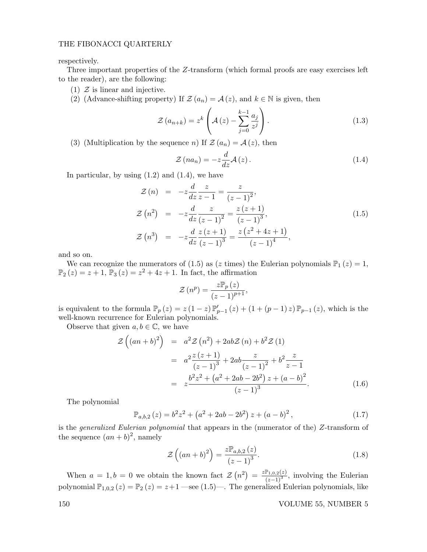respectively.

Three important properties of the Z-transform (which formal proofs are easy exercises left to the reader), are the following:

- (1)  $\mathcal{Z}$  is linear and injective.
- (2) (Advance-shifting property) If  $\mathcal{Z}(a_n) = \mathcal{A}(z)$ , and  $k \in \mathbb{N}$  is given, then

$$
\mathcal{Z}\left(a_{n+k}\right) = z^k \left(\mathcal{A}\left(z\right) - \sum_{j=0}^{k-1} \frac{a_j}{z^j}\right). \tag{1.3}
$$

(3) (Multiplication by the sequence *n*) If  $\mathcal{Z}(a_n) = \mathcal{A}(z)$ , then

$$
\mathcal{Z}(na_n) = -z \frac{d}{dz} \mathcal{A}(z).
$$
 (1.4)

In particular, by using  $(1.2)$  and  $(1.4)$ , we have

$$
\mathcal{Z}(n) = -z \frac{d}{dz} \frac{z}{z-1} = \frac{z}{(z-1)^2},
$$
\n
$$
\mathcal{Z}(n^2) = -z \frac{d}{dz} \frac{z}{(z-1)^2} = \frac{z(z+1)}{(z-1)^3},
$$
\n
$$
\mathcal{Z}(n^3) = -z \frac{d}{dz} \frac{z(z+1)}{(z-1)^3} = \frac{z(z^2+4z+1)}{(z-1)^4},
$$
\n(1.5)

and so on.

We can recognize the numerators of (1.5) as (z times) the Eulerian polynomials  $\mathbb{P}_1(z) = 1$ ,  $\mathbb{P}_2(z) = z + 1, \overline{\mathbb{P}_3(z)} = z^2 + 4z + 1.$  In fact, the affirmation

$$
\mathcal{Z}(n^p) = \frac{z \mathbb{P}_p(z)}{(z-1)^{p+1}},
$$

is equivalent to the formula  $\mathbb{P}_p(z) = z(1-z)\mathbb{P}_{p-1}'(z) + (1+(p-1)z)\mathbb{P}_{p-1}(z)$ , which is the well-known recurrence for Eulerian polynomials.

Observe that given  $a, b \in \mathbb{C}$ , we have

$$
\mathcal{Z}\left((an+b)^2\right) = a^2 \mathcal{Z}\left(n^2\right) + 2ab \mathcal{Z}\left(n\right) + b^2 \mathcal{Z}\left(1\right)
$$
  
\n
$$
= a^2 \frac{z(z+1)}{(z-1)^3} + 2ab \frac{z}{(z-1)^2} + b^2 \frac{z}{z-1}
$$
  
\n
$$
= z \frac{b^2 z^2 + \left(a^2 + 2ab - 2b^2\right) z + \left(a-b\right)^2}{(z-1)^3}.
$$
 (1.6)

The polynomial

$$
\mathbb{P}_{a,b,2}(z) = b^2 z^2 + \left(a^2 + 2ab - 2b^2\right) z + \left(a - b\right)^2, \tag{1.7}
$$

is the generalized Eulerian polynomial that appears in the (numerator of the) Z-transform of the sequence  $(an+b)^2$ , namely

$$
\mathcal{Z}\left(\left(an+b\right)^{2}\right) = \frac{z\mathbb{P}_{a,b,2}\left(z\right)}{\left(z-1\right)^{3}}.\tag{1.8}
$$

When  $a = 1, b = 0$  we obtain the known fact  $\mathcal{Z}(n^2) = \frac{z \mathbb{P}_{1,0,2}(z)}{(z-1)^3}$ , involving the Eulerian polynomial  $\mathbb{P}_{1,0,2}(z) = \mathbb{P}_2(z) = z+1$  —see (1.5)—. The generalized Eulerian polynomials, like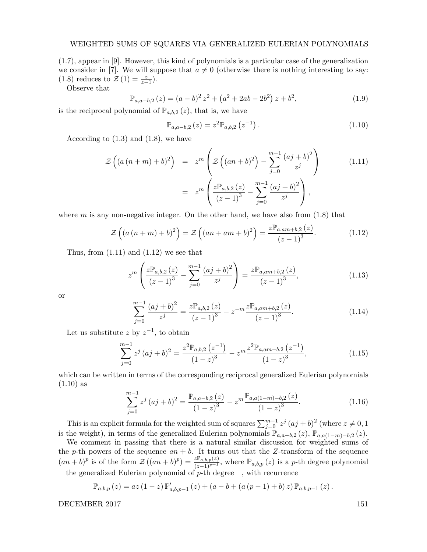(1.7), appear in [9]. However, this kind of polynomials is a particular case of the generalization we consider in [7]. We will suppose that  $a \neq 0$  (otherwise there is nothing interesting to say: (1.8) reduces to  $\mathcal{Z}(1) = \frac{z}{z-1}$ .

Observe that

$$
\mathbb{P}_{a,a-b,2}(z) = (a-b)^2 z^2 + (a^2 + 2ab - 2b^2) z + b^2,
$$
\n(1.9)

is the reciprocal polynomial of  $\mathbb{P}_{a,b,2}(z)$ , that is, we have

$$
\mathbb{P}_{a,a-b,2}\left(z\right) = z^2 \mathbb{P}_{a,b,2}\left(z^{-1}\right). \tag{1.10}
$$

According to  $(1.3)$  and  $(1.8)$ , we have

$$
\mathcal{Z}\left((a(n+m)+b)^2\right) = z^m \left(\mathcal{Z}\left((an+b)^2\right) - \sum_{j=0}^{m-1} \frac{(aj+b)^2}{z^j}\right) \tag{1.11}
$$
\n
$$
= z^m \left(\frac{z\mathbb{P}_{a,b,2}(z)}{(z-1)^3} - \sum_{j=0}^{m-1} \frac{(aj+b)^2}{z^j}\right),
$$

where  $m$  is any non-negative integer. On the other hand, we have also from  $(1.8)$  that

$$
\mathcal{Z}\left(\left(a\left(n+m\right)+b\right)^{2}\right)=\mathcal{Z}\left(\left(an+am+b\right)^{2}\right)=\frac{z\mathbb{P}_{a,am+b,2}\left(z\right)}{\left(z-1\right)^{3}}.\tag{1.12}
$$

Thus, from  $(1.11)$  and  $(1.12)$  we see that

$$
z^{m}\left(\frac{z\mathbb{P}_{a,b,2}\left(z\right)}{\left(z-1\right)^{3}}-\sum_{j=0}^{m-1}\frac{\left(aj+b\right)^{2}}{z^{j}}\right)=\frac{z\mathbb{P}_{a,am+b,2}\left(z\right)}{\left(z-1\right)^{3}},\tag{1.13}
$$

or

$$
\sum_{j=0}^{m-1} \frac{(aj+b)^2}{z^j} = \frac{z \mathbb{P}_{a,b,2}(z)}{(z-1)^3} - z^{-m} \frac{z \mathbb{P}_{a,am+b,2}(z)}{(z-1)^3}.
$$
\n(1.14)

Let us substitute z by  $z^{-1}$ , to obtain

$$
\sum_{j=0}^{m-1} z^j (aj+b)^2 = \frac{z^2 \mathbb{P}_{a,b,2} (z^{-1})}{(1-z)^3} - z^m \frac{z^2 \mathbb{P}_{a,am+b,2} (z^{-1})}{(1-z)^3}, \qquad (1.15)
$$

which can be written in terms of the corresponding reciprocal generalized Eulerian polynomials  $(1.10)$  as

$$
\sum_{j=0}^{m-1} z^j (aj+b)^2 = \frac{\mathbb{P}_{a,a-b,2}(z)}{(1-z)^3} - z^m \frac{\mathbb{P}_{a,a(1-m)-b,2}(z)}{(1-z)^3}.
$$
 (1.16)

This is an explicit formula for the weighted sum of squares  $\sum_{j=0}^{m-1} z^j (aj + b)^2$  (where  $z \neq 0, 1$ is the weight), in terms of the generalized Eulerian polynomials  $\mathbb{P}_{a,a-b,2}(z)$ ,  $\mathbb{P}_{a,a(1-m)-b,2}(z)$ .

We comment in passing that there is a natural similar discussion for weighted sums of the p-th powers of the sequence  $an + b$ . It turns out that the Z-transform of the sequence  $(an+b)^p$  is of the form  $\mathcal{Z}((an+b)^p) = \frac{z \mathbb{P}_{a,b,p}(z)}{(z-1)^{p+1}}$ , where  $\mathbb{P}_{a,b,p}(z)$  is a p-th degree polynomial —the generalized Eulerian polynomial of  $p$ -th degree—, with recurrence

$$
\mathbb{P}_{a,b,p}(z) = az (1-z) \, \mathbb{P}'_{a,b,p-1}(z) + (a - b + (a (p-1) + b) z) \, \mathbb{P}_{a,b,p-1}(z).
$$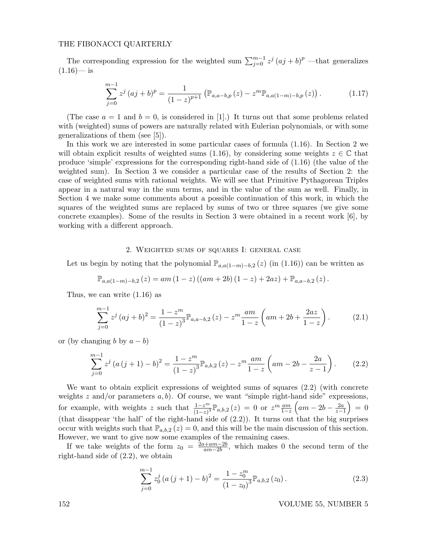The corresponding expression for the weighted sum  $\sum_{j=0}^{m-1} z^j (aj + b)^p$  —that generalizes  $(1.16)$ — is

$$
\sum_{j=0}^{m-1} z^j (aj+b)^p = \frac{1}{(1-z)^{p+1}} \left( \mathbb{P}_{a,a-b,p}(z) - z^m \mathbb{P}_{a,a(1-m)-b,p}(z) \right).
$$
 (1.17)

(The case  $a = 1$  and  $b = 0$ , is considered in [1].) It turns out that some problems related with (weighted) sums of powers are naturally related with Eulerian polynomials, or with some generalizations of them (see [5]).

In this work we are interested in some particular cases of formula (1.16). In Section 2 we will obtain explicit results of weighted sums (1.16), by considering some weights  $z \in \mathbb{C}$  that produce 'simple' expressions for the corresponding right-hand side of (1.16) (the value of the weighted sum). In Section 3 we consider a particular case of the results of Section 2: the case of weighted sums with rational weights. We will see that Primitive Pythagorean Triples appear in a natural way in the sum terms, and in the value of the sum as well. Finally, in Section 4 we make some comments about a possible continuation of this work, in which the squares of the weighted sums are replaced by sums of two or three squares (we give some concrete examples). Some of the results in Section 3 were obtained in a recent work [6], by working with a different approach.

#### 2. Weighted sums of squares I: general case

Let us begin by noting that the polynomial  $\mathbb{P}_{a,a(1-m)-b,2}(z)$  (in (1.16)) can be written as

$$
\mathbb{P}_{a,a(1-m)-b,2}(z) = am (1-z)((am+2b) (1-z) + 2az) + \mathbb{P}_{a,a-b,2}(z).
$$

Thus, we can write (1.16) as

$$
\sum_{j=0}^{m-1} z^j (aj+b)^2 = \frac{1-z^m}{(1-z)^3} \mathbb{P}_{a,a-b,2}(z) - z^m \frac{am}{1-z} \left( am + 2b + \frac{2az}{1-z} \right). \tag{2.1}
$$

or (by changing b by  $a - b$ )

$$
\sum_{j=0}^{m-1} z^j (a (j + 1) - b)^2 = \frac{1 - z^m}{(1 - z)^3} \mathbb{P}_{a,b,2}(z) - z^m \frac{am}{1 - z} \left( am - 2b - \frac{2a}{z - 1} \right). \tag{2.2}
$$

We want to obtain explicit expressions of weighted sums of squares (2.2) (with concrete weights z and/or parameters  $a, b$ . Of course, we want "simple right-hand side" expressions, for example, with weights z such that  $\frac{1-z^m}{(1-z)^3}\mathbb{P}_{a,b,2}(z) = 0$  or  $z^m \frac{am}{1-z}\left(am - 2b - \frac{2a}{z-1}\right) = 0$ (that disappear 'the half' of the right-hand side of  $(2.2)$ ). It turns out that the big surprises occur with weights such that  $\mathbb{P}_{a,b,2}(z) = 0$ , and this will be the main discussion of this section. However, we want to give now some examples of the remaining cases.

If we take weights of the form  $z_0 = \frac{2a + am - 2b}{am - 2b}$  $\frac{a+m-2b}{am-2b}$ , which makes 0 the second term of the right-hand side of (2.2), we obtain

$$
\sum_{j=0}^{m-1} z_0^j (a (j+1) - b)^2 = \frac{1 - z_0^m}{(1 - z_0)^3} \mathbb{P}_{a,b,2}(z_0).
$$
 (2.3)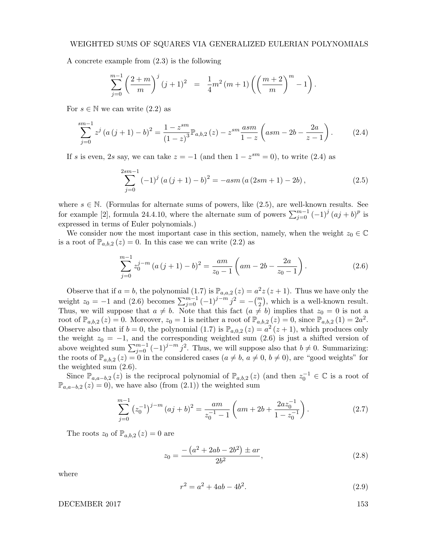#### WEIGHTED SUMS OF SQUARES VIA GENERALIZED EULERIAN POLYNOMIALS

A concrete example from (2.3) is the following

$$
\sum_{j=0}^{m-1} \left( \frac{2+m}{m} \right)^j (j+1)^2 = \frac{1}{4} m^2 (m+1) \left( \left( \frac{m+2}{m} \right)^m - 1 \right).
$$

For  $s \in \mathbb{N}$  we can write  $(2.2)$  as

$$
\sum_{j=0}^{sm-1} z^j (a (j + 1) - b)^2 = \frac{1 - z^{sm}}{(1 - z)^3} \mathbb{P}_{a,b,2}(z) - z^{sm} \frac{asm}{1 - z} \left(asm - 2b - \frac{2a}{z - 1} \right). \tag{2.4}
$$

If s is even, 2s say, we can take  $z = -1$  (and then  $1 - z^{sm} = 0$ ), to write (2.4) as

$$
\sum_{j=0}^{2sm-1} (-1)^j (a(j+1)-b)^2 = -asm (a (2sm+1) - 2b), \qquad (2.5)
$$

where  $s \in \mathbb{N}$ . (Formulas for alternate sums of powers, like (2.5), are well-known results. See for example [2], formula 24.4.10, where the alternate sum of powers  $\sum_{j=0}^{m-1} (-1)^j (aj + b)^p$  is expressed in terms of Euler polynomials.)

We consider now the most important case in this section, namely, when the weight  $z_0 \in \mathbb{C}$ is a root of  $\mathbb{P}_{a,b,2}(z) = 0$ . In this case we can write  $(2.2)$  as

$$
\sum_{j=0}^{m-1} z_0^{j-m} \left( a \left( j+1 \right) - b \right)^2 = \frac{am}{z_0 - 1} \left( am - 2b - \frac{2a}{z_0 - 1} \right). \tag{2.6}
$$

Observe that if  $a = b$ , the polynomial (1.7) is  $\mathbb{P}_{a,a,2}(z) = a^2z(z+1)$ . Thus we have only the weight  $z_0 = -1$  and (2.6) becomes  $\sum_{j=0}^{m-1} (-1)^{j-m} j^2 = -{m \choose 2}$ , which is a well-known result. Thus, we will suppose that  $a \neq b$ . Note that this fact  $(a \neq b)$  implies that  $z_0 = 0$  is not a root of  $\mathbb{P}_{a,b,2}(z) = 0$ . Moreover,  $z_0 = 1$  is neither a root of  $\mathbb{P}_{a,b,2}(z) = 0$ , since  $\mathbb{P}_{a,b,2}(1) = 2a^2$ . Observe also that if  $b = 0$ , the polynomial (1.7) is  $\mathbb{P}_{a,0,2}(z) = a^2(z+1)$ , which produces only the weight  $z_0 = -1$ , and the corresponding weighted sum (2.6) is just a shifted version of above weighted sum  $\sum_{j=0}^{m-1} (-1)^{j-m} j^2$ . Thus, we will suppose also that  $b \neq 0$ . Summarizing: the roots of  $\mathbb{P}_{a,b,2}(z) = 0$  in the considered cases  $(a \neq b, a \neq 0, b \neq 0)$ , are "good weights" for the weighted sum (2.6).

Since  $\mathbb{P}_{a,a-b,2}(z)$  is the reciprocal polynomial of  $\mathbb{P}_{a,b,2}(z)$  (and then  $z_0^{-1} \in \mathbb{C}$  is a root of  $\mathbb{P}_{a,a-b,2}(z) = 0$ , we have also (from (2.1)) the weighted sum

$$
\sum_{j=0}^{m-1} (z_0^{-1})^{j-m} (aj+b)^2 = \frac{am}{z_0^{-1}-1} \left( am + 2b + \frac{2az_0^{-1}}{1-z_0^{-1}} \right).
$$
 (2.7)

The roots  $z_0$  of  $\mathbb{P}_{a,b,2}(z) = 0$  are

$$
z_0 = \frac{-\left(a^2 + 2ab - 2b^2\right) \pm ar}{2b^2},\tag{2.8}
$$

where

$$
r^2 = a^2 + 4ab - 4b^2.
$$
 (2.9)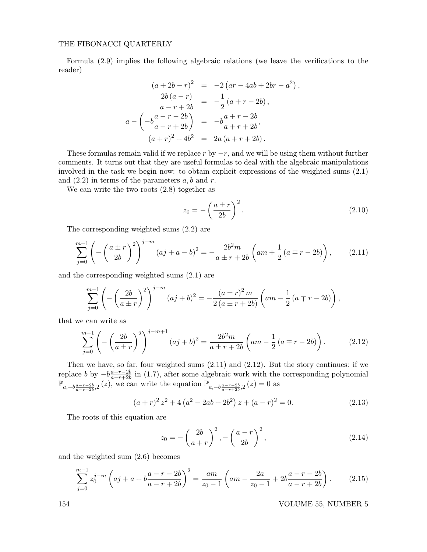Formula (2.9) implies the following algebraic relations (we leave the verifications to the reader)

$$
(a + 2b - r)^2 = -2 (ar - 4ab + 2br - a^2),
$$
  
\n
$$
\frac{2b(a - r)}{a - r + 2b} = -\frac{1}{2} (a + r - 2b),
$$
  
\n
$$
a - \left(-b\frac{a - r - 2b}{a - r + 2b}\right) = -b\frac{a + r - 2b}{a + r + 2b},
$$
  
\n
$$
(a + r)^2 + 4b^2 = 2a (a + r + 2b).
$$

These formulas remain valid if we replace r by  $-r$ , and we will be using them without further comments. It turns out that they are useful formulas to deal with the algebraic manipulations involved in the task we begin now: to obtain explicit expressions of the weighted sums (2.1) and  $(2.2)$  in terms of the parameters  $a, b$  and  $r$ .

We can write the two roots (2.8) together as

$$
z_0 = -\left(\frac{a \pm r}{2b}\right)^2. \tag{2.10}
$$

The corresponding weighted sums (2.2) are

$$
\sum_{j=0}^{m-1} \left( -\left(\frac{a \pm r}{2b}\right)^2 \right)^{j-m} (aj + a - b)^2 = -\frac{2b^2m}{a \pm r + 2b} \left( am + \frac{1}{2} \left( a \mp r - 2b \right) \right), \tag{2.11}
$$

and the corresponding weighted sums (2.1) are

$$
\sum_{j=0}^{m-1} \left( -\left(\frac{2b}{a \pm r}\right)^2 \right)^{j-m} (aj+b)^2 = -\frac{(a \pm r)^2 m}{2(a \pm r + 2b)} \left( am - \frac{1}{2} (a \mp r - 2b) \right),
$$

that we can write as

$$
\sum_{j=0}^{m-1} \left( -\left(\frac{2b}{a \pm r}\right)^2 \right)^{j-m+1} (aj+b)^2 = \frac{2b^2m}{a \pm r + 2b} \left( am - \frac{1}{2} \left( a \mp r - 2b \right) \right). \tag{2.12}
$$

Then we have, so far, four weighted sums (2.11) and (2.12). But the story continues: if we replace b by  $-b\frac{a-r-2b}{a-r+2b}$  $\frac{a-r-2b}{a-r+2b}$  in (1.7), after some algebraic work with the corresponding polynomial  $\mathbb{P}_{a,-b\frac{a-r-2b}{a-r+2b},2}(z)$ , we can write the equation  $\mathbb{P}_{a,-b\frac{a-r-2b}{a-r+2b},2}(z)=0$  as

$$
(a+r)^{2} z^{2} + 4 (a^{2} - 2ab + 2b^{2}) z + (a-r)^{2} = 0.
$$
 (2.13)

The roots of this equation are

$$
z_0 = -\left(\frac{2b}{a+r}\right)^2, -\left(\frac{a-r}{2b}\right)^2,\tag{2.14}
$$

and the weighted sum (2.6) becomes

$$
\sum_{j=0}^{m-1} z_0^{j-m} \left( aj + a + b \frac{a-r-2b}{a-r+2b} \right)^2 = \frac{am}{z_0-1} \left( am - \frac{2a}{z_0-1} + 2b \frac{a-r-2b}{a-r+2b} \right). \tag{2.15}
$$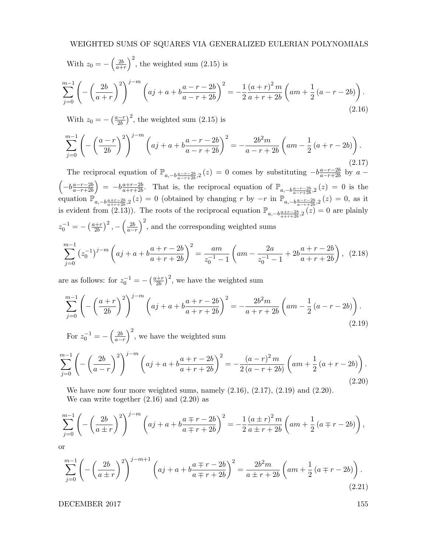# WEIGHTED SUMS OF SQUARES VIA GENERALIZED EULERIAN POLYNOMIALS

With 
$$
z_0 = -\left(\frac{2b}{a+r}\right)^2
$$
, the weighted sum (2.15) is  
\n
$$
\sum_{j=0}^{m-1} \left( -\left(\frac{2b}{a+r}\right)^2 \right)^{j-m} \left( aj + a + b\frac{a-r-2b}{a-r+2b} \right)^2 = -\frac{1}{2} \frac{(a+r)^2 m}{a+r+2b} \left( am + \frac{1}{2} (a-r-2b) \right).
$$
\n(2.16)

With  $z_0 = -\left(\frac{a-r}{2b}\right)$  $\left(\frac{2-r}{2b}\right)^2$ , the weighted sum  $(2.15)$  is

$$
\sum_{j=0}^{m-1} \left( -\left(\frac{a-r}{2b}\right)^2 \right)^{j-m} \left( aj+a+b\frac{a-r-2b}{a-r+2b} \right)^2 = -\frac{2b^2m}{a-r+2b} \left( am - \frac{1}{2} \left( a+r-2b \right) \right).
$$
\n(2.17)

The reciprocal equation of  $\mathbb{P}_{a,-b\frac{a-r-2b}{a-r+2b},2}(z) = 0$  comes by substituting  $-b\frac{a-r-2b}{a-r+2b}$  $\frac{a-r-2b}{a-r+2b}$  by  $a \left(-b\frac{a-r-2b}{a-r+2b}\right)$  $\left( \frac{a - r - 2b}{a - r + 2b} \right) = -b \frac{a + r - 2b}{a + r + 2b}$  $\frac{a+r-2b}{a+r+2b}$ . That is, the reciprocal equation of  $\mathbb{P}_{a,-b\frac{a-r-2b}{a-r+2b},2}(z) = 0$  is the equation  $\mathbb{P}_{a,-b\frac{a+r-2b}{a+r+2b},2}(z) = 0$  (obtained by changing r by  $-r$  in  $\mathbb{P}_{a,-b\frac{a-r-2b}{a-r+2b},2}(z) = 0$ , as it is evident from (2.13)). The roots of the reciprocal equation  $\mathbb{P}_{a,-b\frac{a+r-2b}{a+r+2b},2}(z)=0$  are plainly  $z_0^{-1} = -\left(\frac{a+r}{2b}\right)$  $\left(\frac{2b}{2b}\right)^2$ ,  $-\left(\frac{2b}{a-r}\right)^2$ , and the corresponding weighted sums

$$
\sum_{j=0}^{m-1} (z_0^{-1})^{j-m} \left( aj + a + b \frac{a+r-2b}{a+r+2b} \right)^2 = \frac{am}{z_0^{-1} - 1} \left( am - \frac{2a}{z_0^{-1} - 1} + 2b \frac{a+r-2b}{a+r+2b} \right), \tag{2.18}
$$

are as follows: for  $z_0^{-1} = -\left(\frac{a+r}{2b}\right)$  $\frac{(-1)^{n+1}}{2b}$ , we have the weighted sum

$$
\sum_{j=0}^{m-1} \left( -\left(\frac{a+r}{2b}\right)^2 \right)^{j-m} \left( aj+a+b\frac{a+r-2b}{a+r+2b} \right)^2 = -\frac{2b^2m}{a+r+2b} \left( am - \frac{1}{2} \left( a-r-2b \right) \right).
$$
\n(2.19)

For  $z_0^{-1} = -\left(\frac{2b}{a-r}\right)^2$ , we have the weighted sum

$$
\sum_{j=0}^{m-1} \left( -\left(\frac{2b}{a-r}\right)^2 \right)^{j-m} \left( aj+a+b\frac{a+r-2b}{a+r+2b} \right)^2 = -\frac{(a-r)^2 m}{2(a-r+2b)} \left( am + \frac{1}{2}(a+r-2b) \right).
$$
\n(2.20)

We have now four more weighted sums, namely  $(2.16)$ ,  $(2.17)$ ,  $(2.19)$  and  $(2.20)$ . We can write together  $(2.16)$  and  $(2.20)$  as

$$
\sum_{j=0}^{m-1} \left( -\left(\frac{2b}{a \pm r}\right)^2 \right)^{j-m} \left( aj + a + b \frac{a \mp r - 2b}{a \mp r + 2b} \right)^2 = -\frac{1}{2} \frac{(a \pm r)^2 m}{a \pm r + 2b} \left( am + \frac{1}{2} \left( a \mp r - 2b \right) \right),
$$

or

$$
\sum_{j=0}^{m-1} \left( -\left(\frac{2b}{a \pm r}\right)^2 \right)^{j-m+1} \left( aj + a + b\frac{a \mp r - 2b}{a \mp r + 2b} \right)^2 = \frac{2b^2m}{a \pm r + 2b} \left( am + \frac{1}{2} \left( a \mp r - 2b \right) \right).
$$
\n(2.21)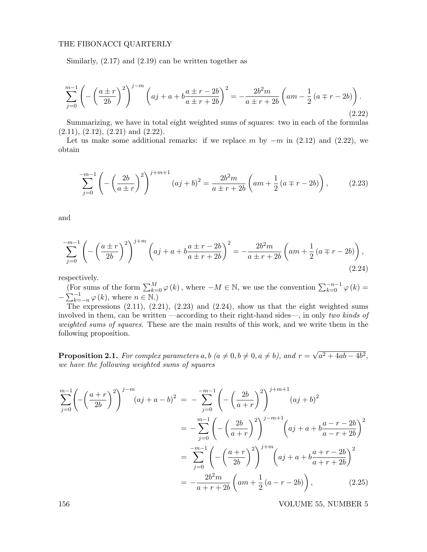Similarly,  $(2.17)$  and  $(2.19)$  can be written together as

$$
\sum_{j=0}^{m-1} \left( -\left(\frac{a \pm r}{2b}\right)^2 \right)^{j-m} \left( aj + a + b\frac{a \pm r - 2b}{a \pm r + 2b} \right)^2 = -\frac{2b^2m}{a \pm r + 2b} \left( am - \frac{1}{2} \left( a \mp r - 2b \right) \right).
$$
\n(2.22)

Summarizing, we have in total eight weighted sums of squares: two in each of the formulas  $(2.11), (2.12), (2.21)$  and  $(2.22).$ 

Let us make some additional remarks: if we replace m by  $-m$  in (2.12) and (2.22), we obtain

$$
\sum_{j=0}^{-m-1} \left( -\left(\frac{2b}{a \pm r}\right)^2 \right)^{j+m+1} (aj+b)^2 = \frac{2b^2m}{a \pm r + 2b} \left( am + \frac{1}{2} \left( a \mp r - 2b \right) \right), \tag{2.23}
$$

and

$$
\sum_{j=0}^{-m-1} \left( -\left(\frac{a \pm r}{2b}\right)^2 \right)^{j+m} \left( aj + a + b \frac{a \pm r - 2b}{a \pm r + 2b} \right)^2 = -\frac{2b^2 m}{a \pm r + 2b} \left( am + \frac{1}{2} \left( a \mp r - 2b \right) \right),\tag{2.24}
$$

respectively.

(For sums of the form  $\sum_{k=0}^{M} \varphi(k)$ , where  $-M \in \mathbb{N}$ , we use the convention  $\sum_{k=0}^{-n-1} \varphi(k)$  $-\sum_{k=-n}^{-1}\varphi(k)$ , where  $n \in \mathbb{N}$ .)

The expressions  $(2.11)$ ,  $(2.21)$ ,  $(2.23)$  and  $(2.24)$ , show us that the eight weighted sums involved in them, can be written —according to their right-hand sides—, in only two kinds of weighted sums of squares. These are the main results of this work, and we write them in the following proposition.

**Proposition 2.1.** For complex parameters a, b  $(a \neq 0, b \neq 0, a \neq b)$ , and  $r =$ √  $a^2 + 4ab - 4b^2$ , we have the following weighted sums of squares

$$
\sum_{j=0}^{m-1} \left( -\left(\frac{a+r}{2b}\right)^2 \right)^{j-m} (aj+a-b)^2 = -\sum_{j=0}^{-m-1} \left( -\left(\frac{2b}{a+r}\right)^2 \right)^{j+m+1} (aj+b)^2
$$
  

$$
= -\sum_{j=0}^{m-1} \left( -\left(\frac{2b}{a+r}\right)^2 \right)^{j-m+1} \left( aj+a+b\frac{a-r-2b}{a-r+2b} \right)^2
$$
  

$$
= \sum_{j=0}^{-m-1} \left( -\left(\frac{a+r}{2b}\right)^2 \right)^{j+m} \left( aj+a+b\frac{a+r-2b}{a+r+2b} \right)^2
$$
  

$$
= -\frac{2b^2m}{a+r+2b} \left( am + \frac{1}{2} (a-r-2b) \right), \qquad (2.25)
$$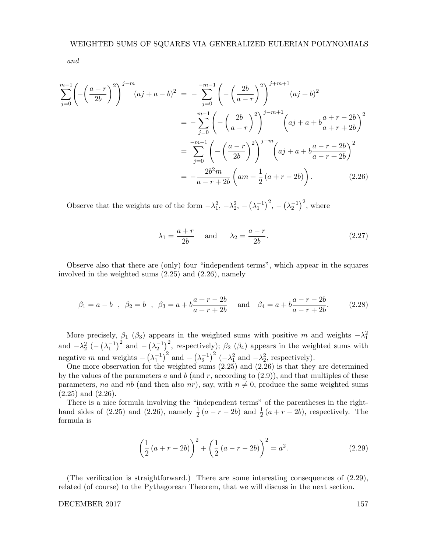and

$$
\sum_{j=0}^{m-1} \left( -\left(\frac{a-r}{2b}\right)^2 \right)^{j-m} (aj+a-b)^2 = -\sum_{j=0}^{-m-1} \left( -\left(\frac{2b}{a-r}\right)^2 \right)^{j+m+1} (aj+b)^2
$$
  

$$
= -\sum_{j=0}^{m-1} \left( -\left(\frac{2b}{a-r}\right)^2 \right)^{j-m+1} \left( aj+a+b\frac{a+r-2b}{a+r+2b} \right)^2
$$
  

$$
= \sum_{j=0}^{-m-1} \left( -\left(\frac{a-r}{2b}\right)^2 \right)^{j+m} \left( aj+a+b\frac{a-r-2b}{a-r+2b} \right)^2
$$
  

$$
= -\frac{2b^2m}{a-r+2b} \left( am + \frac{1}{2} (a+r-2b) \right).
$$
 (2.26)

Observe that the weights are of the form  $-\lambda_1^2$ ,  $-\lambda_2^2$ ,  $-\left(\lambda_1^{-1}\right)^2$ ,  $-\left(\lambda_2^{-1}\right)^2$ , where

$$
\lambda_1 = \frac{a+r}{2b} \quad \text{and} \quad \lambda_2 = \frac{a-r}{2b}.\tag{2.27}
$$

Observe also that there are (only) four "independent terms", which appear in the squares involved in the weighted sums (2.25) and (2.26), namely

$$
\beta_1 = a - b
$$
,  $\beta_2 = b$ ,  $\beta_3 = a + b \frac{a + r - 2b}{a + r + 2b}$  and  $\beta_4 = a + b \frac{a - r - 2b}{a - r + 2b}$ . (2.28)

More precisely,  $\beta_1$  ( $\beta_3$ ) appears in the weighted sums with positive m and weights  $-\lambda_1^2$ and  $-\lambda_2^2$  ( $-(\lambda_1^{-1})^2$  and  $-(\lambda_2^{-1})^2$ , respectively);  $\beta_2$  ( $\beta_4$ ) appears in the weighted sums with negative m and weights  $-\left(\lambda_1^{-1}\right)^2$  and  $-\left(\lambda_2^{-1}\right)^2$   $\left(-\lambda_1^2 \text{ and } -\lambda_2^2 \text{, respectively}\right)$ .

One more observation for the weighted sums (2.25) and (2.26) is that they are determined by the values of the parameters  $a$  and  $b$  (and  $r$ , according to  $(2.9)$ ), and that multiples of these parameters, na and nb (and then also nr), say, with  $n \neq 0$ , produce the same weighted sums  $(2.25)$  and  $(2.26)$ .

There is a nice formula involving the "independent terms" of the parentheses in the righthand sides of (2.25) and (2.26), namely  $\frac{1}{2}(a-r-2b)$  and  $\frac{1}{2}(a+r-2b)$ , respectively. The formula is

$$
\left(\frac{1}{2}\left(a+r-2b\right)\right)^2 + \left(\frac{1}{2}\left(a-r-2b\right)\right)^2 = a^2.
$$
\n(2.29)

(The verification is straightforward.) There are some interesting consequences of (2.29), related (of course) to the Pythagorean Theorem, that we will discuss in the next section.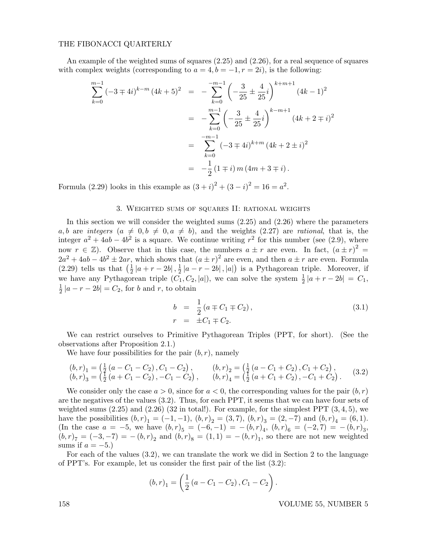An example of the weighted sums of squares (2.25) and (2.26), for a real sequence of squares with complex weights (corresponding to  $a = 4, b = -1, r = 2i$ ), is the following:

$$
\sum_{k=0}^{m-1} (-3 \mp 4i)^{k-m} (4k+5)^2 = -\sum_{k=0}^{-m-1} \left( -\frac{3}{25} \pm \frac{4}{25}i \right)^{k+m+1} (4k-1)^2
$$
  
= 
$$
-\sum_{k=0}^{m-1} \left( -\frac{3}{25} \pm \frac{4}{25}i \right)^{k-m+1} (4k+2 \mp i)^2
$$
  
= 
$$
\sum_{k=0}^{-m-1} (-3 \mp 4i)^{k+m} (4k+2 \pm i)^2
$$
  
= 
$$
-\frac{1}{2} (1 \mp i) m (4m+3 \mp i).
$$

Formula (2.29) looks in this example as  $(3 + i)^2 + (3 - i)^2 = 16 = a^2$ .

### 3. Weighted sums of squares II: rational weights

In this section we will consider the weighted sums (2.25) and (2.26) where the parameters a, b are integers  $(a \neq 0, b \neq 0, a \neq b)$ , and the weights (2.27) are rational, that is, the integer  $a^2 + 4ab - 4b^2$  is a square. We continue writing  $r^2$  for this number (see (2.9), where now  $r \in \mathbb{Z}$ ). Observe that in this case, the numbers  $a \pm r$  are even. In fact,  $(a \pm r)^2$  =  $2a^2 + 4ab - 4b^2 \pm 2ar$ , which shows that  $(a \pm r)^2$  are even, and then  $a \pm r$  are even. Formula  $(2.29)$  tells us that  $\left(\frac{1}{2}\right)$  $\frac{1}{2} |a+r-2b|$ ,  $\frac{1}{2}$  $\frac{1}{2} |a - r - 2b|$ , |a|) is a Pythagorean triple. Moreover, if we have any Pythagorean triple  $(C_1, C_2, |a|)$ , we can solve the system  $\frac{1}{2} |a+r-2b| = C_1$ , 1  $\frac{1}{2}$  |a – r – 2b| =  $C_2$ , for b and r, to obtain

$$
b = \frac{1}{2} (a \mp C_1 \mp C_2),
$$
  
\n
$$
r = \pm C_1 \mp C_2.
$$
\n(3.1)

We can restrict ourselves to Primitive Pythagorean Triples (PPT, for short). (See the observations after Proposition 2.1.)

We have four possibilities for the pair  $(b, r)$ , namely

$$
(b, r)1 = \begin{pmatrix} \frac{1}{2} (a - C_1 - C_2), C_1 - C_2 \end{pmatrix}, \qquad (b, r)2 = \begin{pmatrix} \frac{1}{2} (a - C_1 + C_2), C_1 + C_2 \end{pmatrix}, (b, r)3 = \begin{pmatrix} \frac{1}{2} (a + C_1 - C_2), -C_1 - C_2 \end{pmatrix}, \qquad (b, r)4 = \begin{pmatrix} \frac{1}{2} (a + C_1 + C_2), -C_1 + C_2 \end{pmatrix}.
$$
 (3.2)

We consider only the case  $a > 0$ , since for  $a < 0$ , the corresponding values for the pair  $(b, r)$ are the negatives of the values (3.2). Thus, for each PPT, it seems that we can have four sets of weighted sums  $(2.25)$  and  $(2.26)$   $(32 \text{ in total}!)$ . For example, for the simplest PPT  $(3,4,5)$ , we have the possibilities  $(b, r)_1 = (-1, -1), (b, r)_2 = (3, 7), (b, r)_3 = (2, -7)$  and  $(b, r)_4 = (6, 1)$ . (In the case  $a = -5$ , we have  $(b,r)_5 = (-6,-1) = -(b,r)_4$ ,  $(b,r)_6 = (-2,7) = -(b,r)_3$ ,  $(b, r)_{7} = (-3, -7) = -(b, r)_{2}$  and  $(b, r)_{8} = (1, 1) = -(b, r)_{1}$ , so there are not new weighted sums if  $a = -5$ .)

For each of the values (3.2), we can translate the work we did in Section 2 to the language of PPT's. For example, let us consider the first pair of the list (3.2):

$$
(b,r)_1 = \left(\frac{1}{2}(a - C_1 - C_2), C_1 - C_2\right).
$$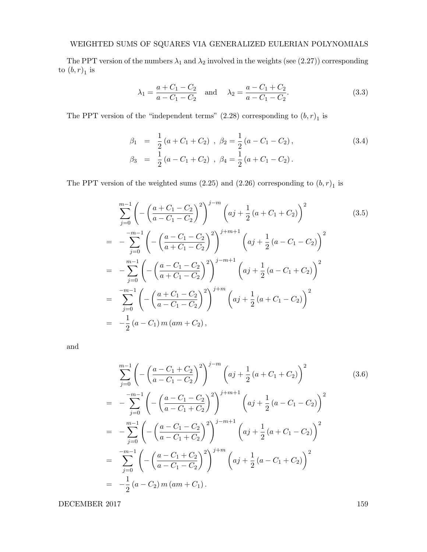The PPT version of the numbers  $\lambda_1$  and  $\lambda_2$  involved in the weights (see (2.27)) corresponding to  $(b,r)_1$  is

$$
\lambda_1 = \frac{a + C_1 - C_2}{a - C_1 - C_2} \quad \text{and} \quad \lambda_2 = \frac{a - C_1 + C_2}{a - C_1 - C_2}.
$$
 (3.3)

The PPT version of the "independent terms"  $(2.28)$  corresponding to  $(b,r)_1$  is

$$
\beta_1 = \frac{1}{2} (a + C_1 + C_2), \ \beta_2 = \frac{1}{2} (a - C_1 - C_2), \n\beta_3 = \frac{1}{2} (a - C_1 + C_2), \ \beta_4 = \frac{1}{2} (a + C_1 - C_2).
$$
\n(3.4)

The PPT version of the weighted sums  $(2.25)$  and  $(2.26)$  corresponding to  $(b, r)$ <sub>1</sub> is

$$
\sum_{j=0}^{m-1} \left( -\left(\frac{a+C_1-C_2}{a-C_1-C_2}\right)^2 \right)^{j-m} \left( aj + \frac{1}{2}(a+C_1+C_2) \right)^2
$$
(3.5)  

$$
= -\sum_{j=0}^{-m-1} \left( -\left(\frac{a-C_1-C_2}{a+C_1-C_2}\right)^2 \right)^{j+m+1} \left( aj + \frac{1}{2}(a-C_1-C_2) \right)^2
$$

$$
= -\sum_{j=0}^{m-1} \left( -\left(\frac{a-C_1-C_2}{a+C_1-C_2}\right)^2 \right)^{j-m+1} \left( aj + \frac{1}{2}(a-C_1+C_2) \right)^2
$$

$$
= \sum_{j=0}^{-m-1} \left( -\left(\frac{a+C_1-C_2}{a-C_1-C_2}\right)^2 \right)^{j+m} \left( aj + \frac{1}{2}(a+C_1-C_2) \right)^2
$$

$$
= -\frac{1}{2}(a-C_1)m(am+C_2),
$$
(3.5)

and

$$
\sum_{j=0}^{m-1} \left( -\left(\frac{a-C_1+C_2}{a-C_1-C_2}\right)^2 \right)^{j-m} \left( aj + \frac{1}{2} \left(a+C_1+C_2\right) \right)^2
$$
(3.6)  
= 
$$
-\sum_{j=0}^{-m-1} \left( -\left(\frac{a-C_1-C_2}{a-C_1+C_2}\right)^2 \right)^{j+m+1} \left( aj + \frac{1}{2} \left(a-C_1-C_2\right) \right)^2
$$
  
= 
$$
-\sum_{j=0}^{m-1} \left( -\left(\frac{a-C_1-C_2}{a-C_1+C_2}\right)^2 \right)^{j-m+1} \left( aj + \frac{1}{2} \left(a+C_1-C_2\right) \right)^2
$$
  
= 
$$
\sum_{j=0}^{-m-1} \left( -\left(\frac{a-C_1+C_2}{a-C_1-C_2}\right)^2 \right)^{j+m} \left( aj + \frac{1}{2} \left(a-C_1+C_2\right) \right)^2
$$
  
= 
$$
-\frac{1}{2} \left(a-C_2\right) m \left( am + C_1\right).
$$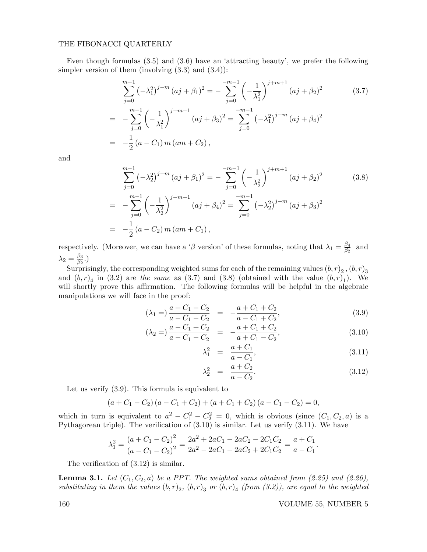Even though formulas (3.5) and (3.6) have an 'attracting beauty', we prefer the following simpler version of them (involving  $(3.3)$  and  $(3.4)$ ):

$$
\sum_{j=0}^{m-1} \left( -\lambda_1^2 \right)^{j-m} (aj + \beta_1)^2 = -\sum_{j=0}^{-m-1} \left( -\frac{1}{\lambda_1^2} \right)^{j+m+1} (aj + \beta_2)^2 \tag{3.7}
$$
  
= 
$$
-\sum_{j=0}^{m-1} \left( -\frac{1}{\lambda_1^2} \right)^{j-m+1} (aj + \beta_3)^2 = \sum_{j=0}^{-m-1} \left( -\lambda_1^2 \right)^{j+m} (aj + \beta_4)^2
$$
  
= 
$$
-\frac{1}{2} (a - C_1) m (am + C_2),
$$

and

$$
\sum_{j=0}^{m-1} \left( -\lambda_2^2 \right)^{j-m} (aj + \beta_1)^2 = -\sum_{j=0}^{-m-1} \left( -\frac{1}{\lambda_2^2} \right)^{j+m+1} (aj + \beta_2)^2
$$
(3.8)  
= 
$$
-\sum_{j=0}^{m-1} \left( -\frac{1}{\lambda_2^2} \right)^{j-m+1} (aj + \beta_4)^2 = \sum_{j=0}^{-m-1} \left( -\lambda_2^2 \right)^{j+m} (aj + \beta_3)^2
$$
  
= 
$$
-\frac{1}{2} (a - C_2) m (am + C_1),
$$

respectively. (Moreover, we can have a 'β version' of these formulas, noting that  $\lambda_1 = \frac{\beta_4}{\beta_2}$  $\frac{\beta_4}{\beta_2}$  and  $\lambda_2=\frac{\beta_3}{\beta_2}$  $\frac{\beta_3}{\beta_2}$ .)

Surprisingly, the corresponding weighted sums for each of the remaining values  $\left( b,r\right) _{2}$  ,  $\left( b,r\right) _{3}$ and  $(b, r)_4$  in (3.2) are the same as (3.7) and (3.8) (obtained with the value  $(b, r)_1$ ). We will shortly prove this affirmation. The following formulas will be helpful in the algebraic manipulations we will face in the proof:

$$
(\lambda_1 =) \frac{a + C_1 - C_2}{a - C_1 - C_2} = -\frac{a + C_1 + C_2}{a - C_1 + C_2},
$$
\n(3.9)

$$
(\lambda_2 =) \frac{a - C_1 + C_2}{a - C_1 - C_2} = -\frac{a + C_1 + C_2}{a + C_1 - C_2},
$$
\n(3.10)

$$
\lambda_1^2 = \frac{a + C_1}{a - C_1},\tag{3.11}
$$

$$
\lambda_2^2 = \frac{a + C_2}{a - C_2}.
$$
\n(3.12)

Let us verify (3.9). This formula is equivalent to

$$
(a + C_1 - C_2) (a - C_1 + C_2) + (a + C_1 + C_2) (a - C_1 - C_2) = 0,
$$

which in turn is equivalent to  $a^2 - C_1^2 - C_2^2 = 0$ , which is obvious (since  $(C_1, C_2, a)$  is a Pythagorean triple). The verification of (3.10) is similar. Let us verify (3.11). We have

$$
\lambda_1^2 = \frac{(a + C_1 - C_2)^2}{(a - C_1 - C_2)^2} = \frac{2a^2 + 2aC_1 - 2aC_2 - 2C_1C_2}{2a^2 - 2aC_1 - 2aC_2 + 2C_1C_2} = \frac{a + C_1}{a - C_1}.
$$

The verification of (3.12) is similar.

**Lemma 3.1.** Let  $(C_1, C_2, a)$  be a PPT. The weighted sums obtained from (2.25) and (2.26), substituting in them the values  $(b,r)_2$ ,  $(b,r)_3$  or  $(b,r)_4$  (from (3.2)), are equal to the weighted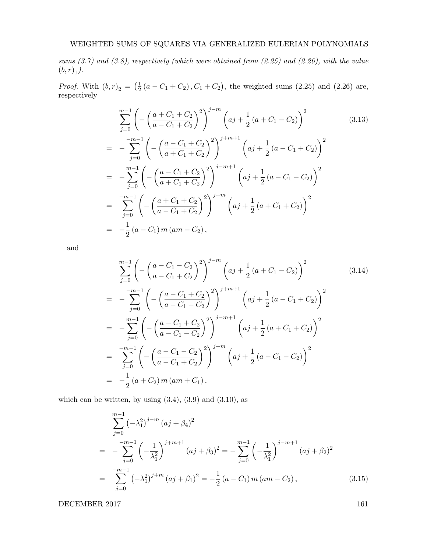sums  $(3.7)$  and  $(3.8)$ , respectively (which were obtained from  $(2.25)$  and  $(2.26)$ , with the value  $(b,r)_1$ ).

*Proof.* With  $(b, r)_2 = \left(\frac{1}{2}\right)$  $\frac{1}{2}(a - C_1 + C_2), C_1 + C_2$ , the weighted sums (2.25) and (2.26) are, respectively

$$
\sum_{j=0}^{m-1} \left( -\left(\frac{a+C_1+C_2}{a-C_1+C_2}\right)^2 \right)^{j-m} \left( aj + \frac{1}{2} \left(a+C_1-C_2\right) \right)^2
$$
(3.13)  

$$
= -\sum_{j=0}^{-m-1} \left( -\left(\frac{a-C_1+C_2}{a+C_1+C_2}\right)^2 \right)^{j+m+1} \left( aj + \frac{1}{2} \left(a-C_1+C_2\right) \right)^2
$$

$$
= -\sum_{j=0}^{m-1} \left( -\left(\frac{a-C_1+C_2}{a+C_1+C_2}\right)^2 \right)^{j-m+1} \left( aj + \frac{1}{2} \left(a-C_1-C_2\right) \right)^2
$$

$$
= \sum_{j=0}^{-m-1} \left( -\left(\frac{a+C_1+C_2}{a-C_1+C_2}\right)^2 \right)^{j+m} \left( aj + \frac{1}{2} \left(a+C_1+C_2\right) \right)^2
$$

$$
= -\frac{1}{2} \left(a-C_1\right) m \left( am - C_2\right),
$$
(3.13)

and

$$
\sum_{j=0}^{m-1} \left( -\left(\frac{a-C_1-C_2}{a-C_1+C_2}\right)^2 \right)^{j-m} \left( aj + \frac{1}{2} (a+C_1-C_2) \right)^2
$$
(3.14)  
= 
$$
-\sum_{j=0}^{-m-1} \left( -\left(\frac{a-C_1+C_2}{a-C_1-C_2}\right)^2 \right)^{j+m+1} \left( aj + \frac{1}{2} (a-C_1+C_2) \right)^2
$$
  
= 
$$
-\sum_{j=0}^{m-1} \left( -\left(\frac{a-C_1+C_2}{a-C_1-C_2}\right)^2 \right)^{j-m+1} \left( aj + \frac{1}{2} (a+C_1+C_2) \right)^2
$$
  
= 
$$
\sum_{j=0}^{-m-1} \left( -\left(\frac{a-C_1-C_2}{a-C_1+C_2}\right)^2 \right)^{j+m} \left( aj + \frac{1}{2} (a-C_1-C_2) \right)^2
$$
  
= 
$$
-\frac{1}{2} (a+C_2) m (am + C_1),
$$
 (3.14)

which can be written, by using  $(3.4)$ ,  $(3.9)$  and  $(3.10)$ , as

$$
\sum_{j=0}^{m-1} \left( -\lambda_1^2 \right)^{j-m} \left( aj + \beta_4 \right)^2
$$
\n
$$
= -\sum_{j=0}^{-m-1} \left( -\frac{1}{\lambda_1^2} \right)^{j+m+1} \left( aj + \beta_3 \right)^2 = -\sum_{j=0}^{m-1} \left( -\frac{1}{\lambda_1^2} \right)^{j-m+1} \left( aj + \beta_2 \right)^2
$$
\n
$$
= \sum_{j=0}^{-m-1} \left( -\lambda_1^2 \right)^{j+m} \left( aj + \beta_1 \right)^2 = -\frac{1}{2} \left( a - C_1 \right) m \left( am - C_2 \right), \tag{3.15}
$$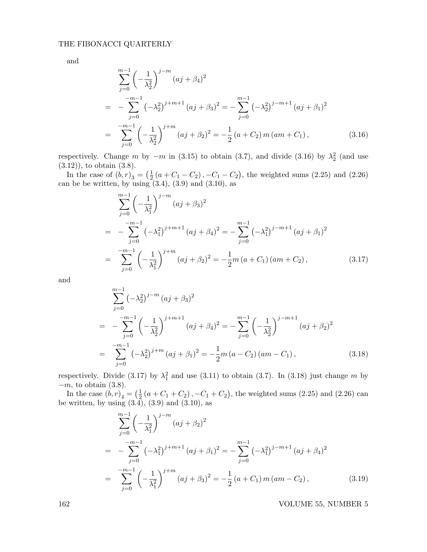and

$$
\sum_{j=0}^{m-1} \left( -\frac{1}{\lambda_2^2} \right)^{j-m} (aj + \beta_4)^2
$$
  
= 
$$
-\sum_{j=0}^{-m-1} \left( -\lambda_2^2 \right)^{j+m+1} (aj + \beta_3)^2 = -\sum_{j=0}^{m-1} \left( -\lambda_2^2 \right)^{j-m+1} (aj + \beta_1)^2
$$
  
= 
$$
\sum_{j=0}^{-m-1} \left( -\frac{1}{\lambda_2^2} \right)^{j+m} (aj + \beta_2)^2 = -\frac{1}{2} (a + C_2) m (am + C_1), \qquad (3.16)
$$

respectively. Change m by  $-m$  in (3.15) to obtain (3.7), and divide (3.16) by  $\lambda_2^2$  (and use  $(3.12)$ , to obtain  $(3.8)$ .

In the case of  $(b,r)_3 = \left(\frac{1}{2}\right)$  $\frac{1}{2}(a+C_1-C_2), -C_1-C_2$ , the weighted sums (2.25) and (2.26) can be be written, by using  $(3.4)$ ,  $(3.9)$  and  $(3.10)$ , as

$$
\sum_{j=0}^{m-1} \left( -\frac{1}{\lambda_1^2} \right)^{j-m} (aj + \beta_3)^2
$$
  
= 
$$
-\sum_{j=0}^{-m-1} \left( -\lambda_1^2 \right)^{j+m+1} (aj + \beta_4)^2 = -\sum_{j=0}^{m-1} \left( -\lambda_1^2 \right)^{j-m+1} (aj + \beta_1)^2
$$
  
= 
$$
\sum_{j=0}^{-m-1} \left( -\frac{1}{\lambda_1^2} \right)^{j+m} (aj + \beta_2)^2 = -\frac{1}{2} m (a + C_1) (am + C_2), \qquad (3.17)
$$

and

$$
\sum_{j=0}^{m-1} \left( -\lambda_2^2 \right)^{j-m} (aj + \beta_3)^2
$$
\n
$$
= -\sum_{j=0}^{-m-1} \left( -\frac{1}{\lambda_2^2} \right)^{j+m+1} (aj + \beta_4)^2 = -\sum_{j=0}^{m-1} \left( -\frac{1}{\lambda_2^2} \right)^{j-m+1} (aj + \beta_2)^2
$$
\n
$$
= \sum_{j=0}^{-m-1} \left( -\lambda_2^2 \right)^{j+m} (aj + \beta_1)^2 = -\frac{1}{2}m (a - C_2) (am - C_1), \qquad (3.18)
$$

respectively. Divide (3.17) by  $\lambda_1^2$  and use (3.11) to obtain (3.7). In (3.18) just change m by  $-m$ , to obtain  $(3.8)$ .

In the case  $(b,r)_4 = \left(\frac{1}{2}\right)$  $\frac{1}{2}(a + C_1 + C_2), -C_1 + C_2$ , the weighted sums (2.25) and (2.26) can be written, by using  $(3.4)$ ,  $(3.9)$  and  $(3.10)$ , as

$$
\sum_{j=0}^{m-1} \left( -\frac{1}{\lambda_1^2} \right)^{j-m} (aj + \beta_2)^2
$$
  
= 
$$
-\sum_{j=0}^{-m-1} \left( -\lambda_1^2 \right)^{j+m+1} (aj + \beta_1)^2 = -\sum_{j=0}^{m-1} \left( -\lambda_1^2 \right)^{j-m+1} (aj + \beta_4)^2
$$
  
= 
$$
\sum_{j=0}^{-m-1} \left( -\frac{1}{\lambda_1^2} \right)^{j+m} (aj + \beta_3)^2 = -\frac{1}{2} (a + C_1) m (am - C_2), \qquad (3.19)
$$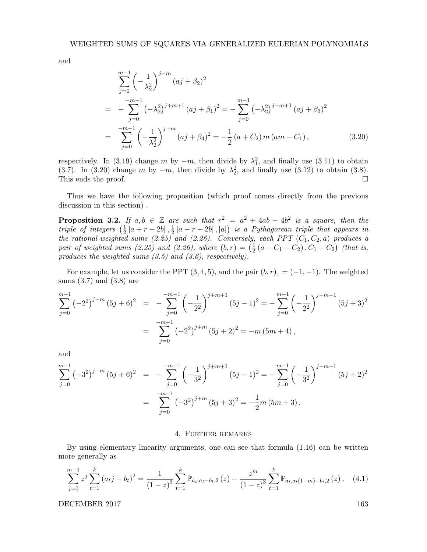and

$$
\sum_{j=0}^{m-1} \left( -\frac{1}{\lambda_2^2} \right)^{j-m} (aj + \beta_2)^2
$$
  
= 
$$
-\sum_{j=0}^{-m-1} \left( -\lambda_2^2 \right)^{j+m+1} (aj + \beta_1)^2 = -\sum_{j=0}^{m-1} \left( -\lambda_2^2 \right)^{j-m+1} (aj + \beta_3)^2
$$
  
= 
$$
\sum_{j=0}^{-m-1} \left( -\frac{1}{\lambda_2^2} \right)^{j+m} (aj + \beta_4)^2 = -\frac{1}{2} (a + C_2) m (am - C_1),
$$
 (3.20)

respectively. In (3.19) change m by  $-m$ , then divide by  $\lambda_1^2$ , and finally use (3.11) to obtain (3.7). In (3.20) change m by  $-m$ , then divide by  $\lambda_2^2$ , and finally use (3.12) to obtain (3.8). This ends the proof.  $\Box$ 

Thus we have the following proposition (which proof comes directly from the previous discussion in this section) .

**Proposition 3.2.** If  $a, b \in \mathbb{Z}$  are such that  $r^2 = a^2 + 4ab - 4b^2$  is a square, then the triple of integers  $(\frac{1}{2})$  $\frac{1}{2}$   $|a+r-2b|$  ,  $\frac{1}{2}$  $\frac{1}{2} |a-r-2b|$ ,  $|a|$ ) is a Pythagorean triple that appears in the rational-weighted sums  $(2.25)^2$  and  $(2.26)$ . Conversely, each PPT  $(C_1, C_2, a)$  produces a pair of weighted sums (2.25) and (2.26), where  $(b,r) = \left(\frac{1}{2}\right)^{r}$  $\frac{1}{2} (a - C_1 - C_2), C_1 - C_2)$  (that is, produces the weighted sums  $(3.5)$  and  $(3.6)$ , respectively).

For example, let us consider the PPT  $(3, 4, 5)$ , and the pair  $(b, r)<sub>1</sub> = (-1, -1)$ . The weighted sums (3.7) and (3.8) are

$$
\sum_{j=0}^{m-1} (-2^2)^{j-m} (5j+6)^2 = -\sum_{j=0}^{-m-1} \left(-\frac{1}{2^2}\right)^{j+m+1} (5j-1)^2 = -\sum_{j=0}^{m-1} \left(-\frac{1}{2^2}\right)^{j-m+1} (5j+3)^2
$$

$$
= \sum_{j=0}^{-m-1} (-2^2)^{j+m} (5j+2)^2 = -m (5m+4),
$$

and

$$
\sum_{j=0}^{m-1} (-3^2)^{j-m} (5j+6)^2 = -\sum_{j=0}^{-m-1} \left(-\frac{1}{3^2}\right)^{j+m+1} (5j-1)^2 = -\sum_{j=0}^{m-1} \left(-\frac{1}{3^2}\right)^{j-m+1} (5j+2)^2
$$

$$
= \sum_{j=0}^{-m-1} (-3^2)^{j+m} (5j+3)^2 = -\frac{1}{2}m (5m+3).
$$

#### 4. Further remarks

By using elementary linearity arguments, one can see that formula (1.16) can be written more generally as

$$
\sum_{j=0}^{m-1} z^j \sum_{t=1}^k (a_t j + b_t)^2 = \frac{1}{(1-z)^3} \sum_{t=1}^k \mathbb{P}_{a_t, a_t - b_t, 2}(z) - \frac{z^m}{(1-z)^3} \sum_{t=1}^k \mathbb{P}_{a_t, a_t(1-m) - b_t, 2}(z), \quad (4.1)
$$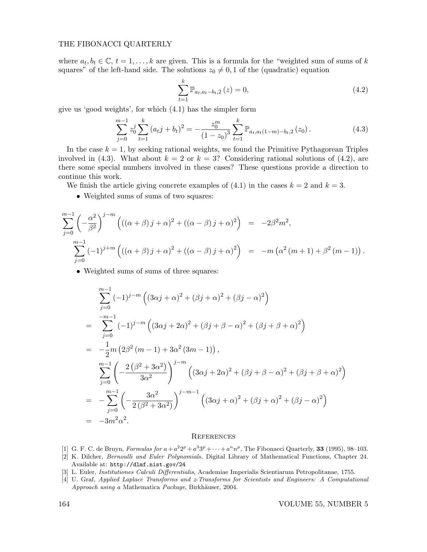where  $a_t, b_t \in \mathbb{C}, t = 1, \ldots, k$  are given. This is a formula for the "weighted sum of sums of k squares" of the left-hand side. The solutions  $z_0 \neq 0, 1$  of the (quadratic) equation

$$
\sum_{t=1}^{k} \mathbb{P}_{a_t, a_t - b_t, 2} (z) = 0,
$$
\n(4.2)

give us 'good weights', for which (4.1) has the simpler form

$$
\sum_{j=0}^{m-1} z_0^j \sum_{t=1}^k (a_t j + b_t)^2 = -\frac{z_0^m}{(1 - z_0)^3} \sum_{t=1}^k \mathbb{P}_{a_t, a_t(1-m) - b_t, 2}(z_0).
$$
 (4.3)

In the case  $k = 1$ , by seeking rational weights, we found the Primitive Pythagorean Triples involved in (4.3). What about  $k = 2$  or  $k = 3$ ? Considering rational solutions of (4.2), are there some special numbers involved in these cases? These questions provide a direction to continue this work.

We finish the article giving concrete examples of  $(4.1)$  in the cases  $k = 2$  and  $k = 3$ .

• Weighted sums of sums of two squares:

$$
\sum_{j=0}^{m-1} \left( -\frac{\alpha^2}{\beta^2} \right)^{j-m} \left( ((\alpha + \beta) j + \alpha)^2 + ((\alpha - \beta) j + \alpha)^2 \right) = -2\beta^2 m^2,
$$
  

$$
\sum_{j=0}^{m-1} (-1)^{j+m} \left( ((\alpha + \beta) j + \alpha)^2 + ((\alpha - \beta) j + \alpha)^2 \right) = -m \left( \alpha^2 (m+1) + \beta^2 (m-1) \right).
$$

• Weighted sums of sums of three squares:

$$
\sum_{j=0}^{m-1} (-1)^{j-m} \left( (3\alpha j + \alpha)^2 + (\beta j + \alpha)^2 + (\beta j - \alpha)^2 \right)
$$
  
= 
$$
\sum_{j=0}^{-m-1} (-1)^{j-m} \left( (3\alpha j + 2\alpha)^2 + (\beta j + \beta - \alpha)^2 + (\beta j + \beta + \alpha)^2 \right)
$$
  
= 
$$
-\frac{1}{2}m \left( 2\beta^2 (m-1) + 3\alpha^2 (3m-1) \right),
$$
  

$$
\sum_{j=0}^{m-1} \left( -\frac{2(\beta^2 + 3\alpha^2)}{3\alpha^2} \right)^{j-m} \left( (3\alpha j + 2\alpha)^2 + (\beta j + \beta - \alpha)^2 + (\beta j + \beta + \alpha)^2 \right)
$$
  
= 
$$
-\sum_{j=0}^{m-1} \left( -\frac{3\alpha^2}{2(\beta^2 + 3\alpha^2)} \right)^{j-m-1} \left( (3\alpha j + \alpha)^2 + (\beta j + \alpha)^2 + (\beta j - \alpha)^2 \right)
$$
  
= 
$$
-3m^2\alpha^2.
$$

# **REFERENCES**

- [1] G. F. C. de Bruyn, Formulas for  $a + a^2 2^p + a^3 3^p + \cdots + a^n n^p$ , The Fibonacci Quarterly, **33** (1995), 98–103.
- [2] K. Dilcher, Bernoulli and Euler Polynomials, Digital Library of Mathematical Functions, Chapter 24. Available at: http://dlmf.nist.gov/24
- [3] L. Euler, Institutiones Calculi Differentialis, Academiae Imperialis Scientiarum Petropolitanae, 1755.
- [4] U. Graf, Applied Laplace Transforms and z-Transforms for Scientists and Engineers: A Computational Approach using a Mathematica Package, Birkhäuser, 2004.